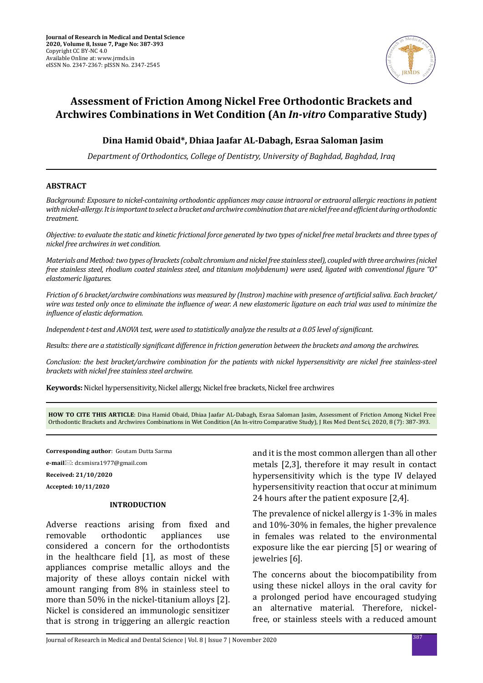

# **Assessment of Friction Among Nickel Free Orthodontic Brackets and Archwires Combinations in Wet Condition (An** *In-vitro* **Comparative Study)**

# **Dina Hamid Obaid\*, Dhiaa Jaafar AL-Dabagh, Esraa Saloman Jasim**

*Department of Orthodontics, College of Dentistry, University of Baghdad, Baghdad, Iraq*

### **ABSTRACT**

*Background: Exposure to nickel-containing orthodontic appliances may cause intraoral or extraoral allergic reactions in patient with nickel-allergy. It is important to select a bracket and archwire combination that are nickel free and efficient during orthodontic treatment.* 

*Objective: to evaluate the static and kinetic frictional force generated by two types of nickel free metal brackets and three types of nickel free archwires in wet condition.*

*Materials and Method: two types of brackets (cobalt chromium and nickel free stainless steel), coupled with three archwires (nickel free stainless steel, rhodium coated stainless steel, and titanium molybdenum) were used, ligated with conventional figure "O" elastomeric ligatures.*

*Friction of 6 bracket/archwire combinations was measured by (Instron) machine with presence of artificial saliva. Each bracket/ wire was tested only once to eliminate the influence of wear. A new elastomeric ligature on each trial was used to minimize the influence of elastic deformation.* 

*Independent t-test and ANOVA test, were used to statistically analyze the results at a 0.05 level of significant.*

*Results: there are a statistically significant difference in friction generation between the brackets and among the archwires.*

*Conclusion: the best bracket/archwire combination for the patients with nickel hypersensitivity are nickel free stainless-steel brackets with nickel free stainless steel archwire.* 

**Keywords:** Nickel hypersensitivity, Nickel allergy, Nickel free brackets, Nickel free archwires

**HOW TO CITE THIS ARTICLE**: Dina Hamid Obaid, Dhiaa Jaafar AL-Dabagh, Esraa Saloman Jasim, Assessment of Friction Among Nickel Free Orthodontic Brackets and Archwires Combinations in Wet Condition (An In-vitro Comparative Study), J Res Med Dent Sci, 2020, 8 (7): 387-393.

**Corresponding author**: Goutam Dutta Sarma

**e-mail**: dr.smisra1977@gmail.com

**Received: 21/10/2020**

**Accepted: 10/11/2020**

#### **INTRODUCTION**

Adverse reactions arising from fixed and removable orthodontic appliances use considered a concern for the orthodontists in the healthcare field [1], as most of these appliances comprise metallic alloys and the majority of these alloys contain nickel with amount ranging from 8% in stainless steel to more than 50% in the nickel-titanium alloys [2]. Nickel is considered an immunologic sensitizer that is strong in triggering an allergic reaction and it is the most common allergen than all other metals [2,3], therefore it may result in contact hypersensitivity which is the type IV delayed hypersensitivity reaction that occur at minimum 24 hours after the patient exposure [2,4].

The prevalence of nickel allergy is 1-3% in males and 10%-30% in females, the higher prevalence in females was related to the environmental exposure like the ear piercing [5] or wearing of jewelries [6].

The concerns about the biocompatibility from using these nickel alloys in the oral cavity for a prolonged period have encouraged studying an alternative material. Therefore, nickelfree, or stainless steels with a reduced amount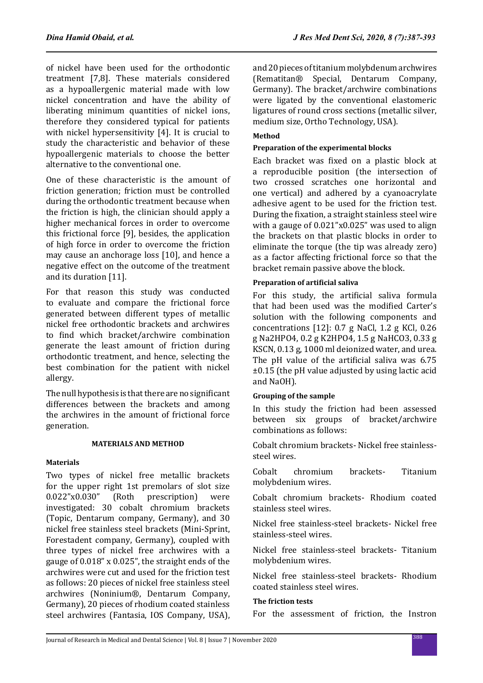of nickel have been used for the orthodontic treatment [7,8]. These materials considered as a hypoallergenic material made with low nickel concentration and have the ability of liberating minimum quantities of nickel ions, therefore they considered typical for patients with nickel hypersensitivity [4]. It is crucial to study the characteristic and behavior of these hypoallergenic materials to choose the better alternative to the conventional one.

One of these characteristic is the amount of friction generation; friction must be controlled during the orthodontic treatment because when the friction is high, the clinician should apply a higher mechanical forces in order to overcome this frictional force [9], besides, the application of high force in order to overcome the friction may cause an anchorage loss [10], and hence a negative effect on the outcome of the treatment and its duration [11].

For that reason this study was conducted to evaluate and compare the frictional force generated between different types of metallic nickel free orthodontic brackets and archwires to find which bracket/archwire combination generate the least amount of friction during orthodontic treatment, and hence, selecting the best combination for the patient with nickel allergy.

The null hypothesis is that there are no significant differences between the brackets and among the archwires in the amount of frictional force generation.

# **MATERIALS AND METHOD**

### **Materials**

Two types of nickel free metallic brackets for the upper right 1st premolars of slot size<br>0.022"x0.030" (Roth prescription) were prescription) investigated: 30 cobalt chromium brackets (Topic, Dentarum company, Germany), and 30 nickel free stainless steel brackets (Mini-Sprint, Forestadent company, Germany), coupled with three types of nickel free archwires with a gauge of 0.018" x 0.025", the straight ends of the archwires were cut and used for the friction test as follows: 20 pieces of nickel free stainless steel archwires (Noninium®, Dentarum Company, Germany), 20 pieces of rhodium coated stainless steel archwires (Fantasia, IOS Company, USA), and 20 pieces of titanium molybdenum archwires (Rematitan® Special, Dentarum Company, Germany). The bracket/archwire combinations were ligated by the conventional elastomeric ligatures of round cross sections (metallic silver, medium size, Ortho Technology, USA).

# **Method**

# **Preparation of the experimental blocks**

Each bracket was fixed on a plastic block at a reproducible position (the intersection of two crossed scratches one horizontal and one vertical) and adhered by a cyanoacrylate adhesive agent to be used for the friction test. During the fixation, a straight stainless steel wire with a gauge of 0.021"x0.025" was used to align the brackets on that plastic blocks in order to eliminate the torque (the tip was already zero) as a factor affecting frictional force so that the bracket remain passive above the block.

# **Preparation of artificial saliva**

For this study, the artificial saliva formula that had been used was the modified Carter's solution with the following components and concentrations [12]: 0.7 g NaCl, 1.2 g KCl, 0.26 g Na2HPO4, 0.2 g K2HPO4, 1.5 g NaHCO3, 0.33 g KSCN, 0.13 g, 1000 ml deionized water, and urea. The pH value of the artificial saliva was 6.75 ±0.15 (the pH value adjusted by using lactic acid and NaOH).

### **Grouping of the sample**

In this study the friction had been assessed between six groups of bracket/archwire combinations as follows:

Cobalt chromium brackets- Nickel free stainlesssteel wires.

Cobalt chromium brackets- Titanium molybdenium wires.

Cobalt chromium brackets- Rhodium coated stainless steel wires.

Nickel free stainless-steel brackets- Nickel free stainless-steel wires.

Nickel free stainless-steel brackets- Titanium molybdenium wires.

Nickel free stainless-steel brackets- Rhodium coated stainless steel wires.

### **The friction tests**

For the assessment of friction, the Instron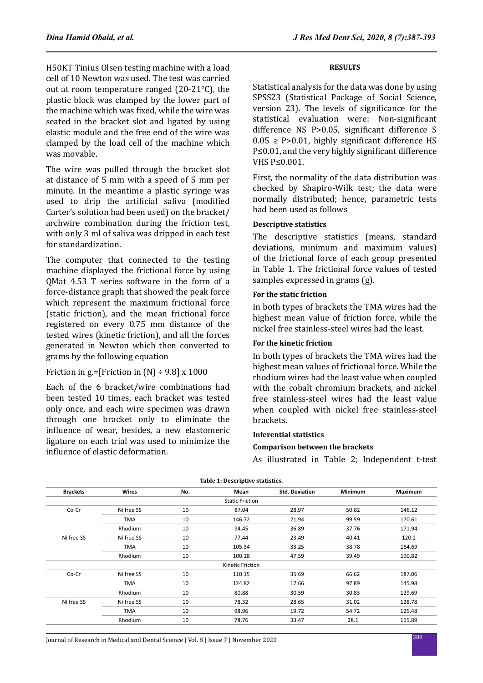H50KT Tinius Olsen testing machine with a load cell of 10 Newton was used. The test was carried out at room temperature ranged (20-21°C), the plastic block was clamped by the lower part of the machine which was fixed, while the wire was seated in the bracket slot and ligated by using elastic module and the free end of the wire was clamped by the load cell of the machine which was movable.

The wire was pulled through the bracket slot at distance of 5 mm with a speed of 5 mm per minute. In the meantime a plastic syringe was used to drip the artificial saliva (modified Carter's solution had been used) on the bracket/ archwire combination during the friction test, with only 3 ml of saliva was dripped in each test for standardization.

The computer that connected to the testing machine displayed the frictional force by using QMat 4.53 T series software in the form of a force-distance graph that showed the peak force which represent the maximum frictional force (static friction), and the mean frictional force registered on every 0.75 mm distance of the tested wires (kinetic friction), and all the forces generated in Newton which then converted to grams by the following equation

Friction in g.=[Friction in  $(N) \div 9.8$ ] x 1000

Each of the 6 bracket/wire combinations had been tested 10 times, each bracket was tested only once, and each wire specimen was drawn through one bracket only to eliminate the influence of wear, besides, a new elastomeric ligature on each trial was used to minimize the influence of elastic deformation.

### **RESULTS**

Statistical analysis for the data was done by using SPSS23 (Statistical Package of Social Science, version 23). The levels of significance for the statistical evaluation were: Non-significant difference NS P>0.05, significant difference S  $0.05 \geq$  P>0.01, highly significant difference HS P≤0.01, and the very highly significant difference VHS P≤0.001.

First, the normality of the data distribution was checked by Shapiro-Wilk test; the data were normally distributed; hence, parametric tests had been used as follows

#### **Descriptive statistics**

The descriptive statistics (means, standard deviations, minimum and maximum values) of the frictional force of each group presented in Table 1. The frictional force values of tested samples expressed in grams (g).

#### **For the static friction**

In both types of brackets the TMA wires had the highest mean value of friction force, while the nickel free stainless-steel wires had the least.

#### **For the kinetic friction**

In both types of brackets the TMA wires had the highest mean values of frictional force. While the rhodium wires had the least value when coupled with the cobalt chromium brackets, and nickel free stainless-steel wires had the least value when coupled with nickel free stainless-steel brackets.

#### **Inferential statistics**

#### **Comparison between the brackets**

As illustrated in Table 2; Independent t-test

| rapic 1: Bescriptive statistics. |                |     |                        |                       |                |                |
|----------------------------------|----------------|-----|------------------------|-----------------------|----------------|----------------|
| <b>Brackets</b>                  | <b>Wires</b>   | No. | Mean                   | <b>Std. Deviation</b> | <b>Minimum</b> | <b>Maximum</b> |
|                                  |                |     | <b>Static Friction</b> |                       |                |                |
| Co-Cr                            | Ni free SS     | 10  | 87.04                  | 28.97                 | 50.82          | 146.12         |
|                                  | <b>TMA</b>     | 10  | 146.72                 | 21.94                 | 99.59          | 170.61         |
|                                  | <b>Rhodium</b> | 10  | 94.45                  | 36.89                 | 37.76          | 171.94         |
| Ni free SS                       | Ni free SS     | 10  | 77.44                  | 23.49                 | 40.41          | 120.2          |
|                                  | <b>TMA</b>     | 10  | 105.34                 | 33.25                 | 38.78          | 164.69         |
|                                  | Rhodium        | 10  | 100.18                 | 47.59                 | 39.49          | 190.82         |
|                                  |                |     | Kinetic Friction       |                       |                |                |
| Co-Cr                            | Ni free SS     | 10  | 110.15                 | 35.69                 | 66.62          | 187.06         |
|                                  | <b>TMA</b>     | 10  | 124.82                 | 17.66                 | 97.89          | 145.98         |
|                                  | Rhodium        | 10  | 80.88                  | 30.59                 | 30.83          | 129.69         |
| Ni free SS                       | Ni free SS     | 10  | 78.32                  | 28.65                 | 31.02          | 128.78         |
|                                  | <b>TMA</b>     | 10  | 98.96                  | 19.72                 | 54.72          | 125.48         |
|                                  | Rhodium        | 10  | 78.76                  | 33.47                 | 28.1           | 115.89         |

**Table 1: Descriptive statistics.**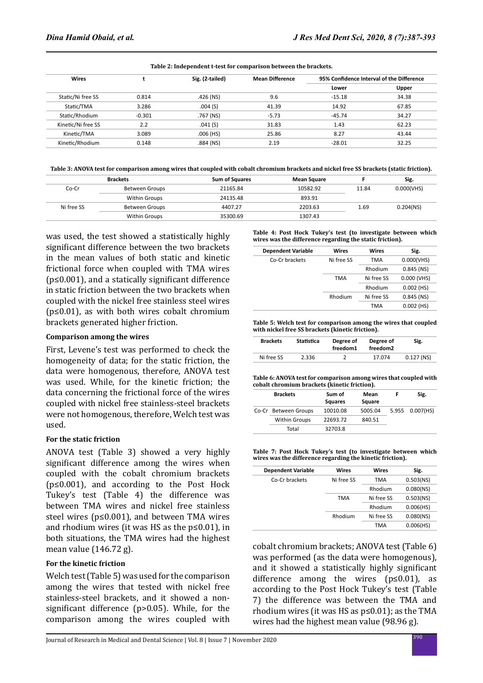| Wires              |          | Sig. (2-tailed) | <b>Mean Difference</b> | 95% Confidence Interval of the Difference |       |
|--------------------|----------|-----------------|------------------------|-------------------------------------------|-------|
|                    |          |                 |                        | Lower                                     | Upper |
| Static/Ni free SS  | 0.814    | $.426$ (NS)     | 9.6                    | $-15.18$                                  | 34.38 |
| Static/TMA         | 3.286    | .004(S)         | 41.39                  | 14.92                                     | 67.85 |
| Static/Rhodium     | $-0.301$ | .767 (NS)       | $-5.73$                | $-45.74$                                  | 34.27 |
| Kinetic/Ni free SS | 2.2      | .041(S)         | 31.83                  | 1.43                                      | 62.23 |
| Kinetic/TMA        | 3.089    | $.006$ (HS)     | 25.86                  | 8.27                                      | 43.44 |
| Kinetic/Rhodium    | 0.148    | $.884$ (NS)     | 2.19                   | $-28.01$                                  | 32.25 |

**Table 3: ANOVA test for comparison among wires that coupled with cobalt chromium brackets and nickel free SS brackets (static friction).**

|            | <b>Brackets</b>       | <b>Sum of Squares</b> | Mean Square |       | Sig.         |
|------------|-----------------------|-----------------------|-------------|-------|--------------|
| Co-Cr      | Between Groups        | 21165.84              | 10582.92    | 11.84 | 0.000(VHS)   |
|            | <b>Within Groups</b>  | 24135.48              | 893.91      |       |              |
| Ni free SS | <b>Between Groups</b> | 4407.27               | 2203.63     | 1.69  | $0.204$ (NS) |
|            | Within Groups         | 35300.69              | 1307.43     |       |              |

was used, the test showed a statistically highly significant difference between the two brackets in the mean values of both static and kinetic frictional force when coupled with TMA wires  $(p \le 0.001)$ , and a statically significant difference in static friction between the two brackets when coupled with the nickel free stainless steel wires  $(p \le 0.01)$ , as with both wires cobalt chromium brackets generated higher friction.

#### **Comparison among the wires**

First, Levene's test was performed to check the homogeneity of data; for the static friction, the data were homogenous, therefore, ANOVA test was used. While, for the kinetic friction; the data concerning the frictional force of the wires coupled with nickel free stainless-steel brackets were not homogenous, therefore, Welch test was used.

### **For the static friction**

ANOVA test (Table 3) showed a very highly significant difference among the wires when coupled with the cobalt chromium brackets (p≤0.001), and according to the Post Hock Tukey's test (Table 4) the difference was between TMA wires and nickel free stainless steel wires (p≤0.001), and between TMA wires and rhodium wires (it was HS as the  $p \le 0.01$ ), in both situations, the TMA wires had the highest mean value (146.72 g).

### **For the kinetic friction**

Welch test (Table 5) was used for the comparison among the wires that tested with nickel free stainless-steel brackets, and it showed a nonsignificant difference (p>0.05). While, for the comparison among the wires coupled with **Table 4: Post Hock Tukey's test (to investigate between which wires was the difference regarding the static friction).**

| <b>Dependent Variable</b> | Wires      | Wires      | Sig.         |
|---------------------------|------------|------------|--------------|
| Co-Cr brackets            | Ni free SS | <b>TMA</b> | 0.000(VHS)   |
|                           |            | Rhodium    | $0.845$ (NS) |
|                           | <b>TMA</b> | Ni free SS | 0.000 (VHS)  |
|                           |            | Rhodium    | $0.002$ (HS) |
|                           | Rhodium    | Ni free SS | $0.845$ (NS) |
|                           |            | <b>TMA</b> | $0.002$ (HS) |
|                           |            |            |              |

**Table 5: Welch test for comparison among the wires that coupled with nickel free SS brackets (kinetic friction).**

| <b>Brackets</b> | Statistica | Degree of<br>freedom1 | Degree of<br>freedom <sub>2</sub> | Sig.         |
|-----------------|------------|-----------------------|-----------------------------------|--------------|
| Ni free SS      | 2.336      |                       | 17.074                            | $0.127$ (NS) |

**Table 6: ANOVA test for comparison among wires that coupled with cobalt chromium brackets (kinetic friction).**

| <b>Brackets</b>      | Sum of<br><b>Squares</b> | Mean<br>Square | Sig.            |
|----------------------|--------------------------|----------------|-----------------|
| Co-Cr Between Groups | 10010.08                 | 5005.04        | 5.955 0.007(HS) |
| <b>Within Groups</b> | 22693.72                 | 840.51         |                 |
| Total                | 32703.8                  |                |                 |

**Table 7: Post Hock Tukey's test (to investigate between which wires was the difference regarding the kinetic friction).**

| <b>Dependent Variable</b> | Wires             | Wires      | Sig.         |
|---------------------------|-------------------|------------|--------------|
| Co-Cr brackets            | Ni free SS<br>TMA |            | $0.503$ (NS) |
|                           |                   | Rhodium    | $0.080$ (NS) |
|                           | <b>TMA</b>        | Ni free SS | $0.503$ (NS) |
|                           |                   | Rhodium    | 0.006(HS)    |
|                           | Rhodium           | Ni free SS | $0.080$ (NS) |
|                           |                   | <b>TMA</b> | 0.006(HS)    |
|                           |                   |            |              |

cobalt chromium brackets; ANOVA test (Table 6) was performed (as the data were homogenous), and it showed a statistically highly significant difference among the wires  $(p \le 0.01)$ , as according to the Post Hock Tukey's test (Table 7) the difference was between the TMA and rhodium wires (it was HS as  $p \le 0.01$ ); as the TMA wires had the highest mean value (98.96 g).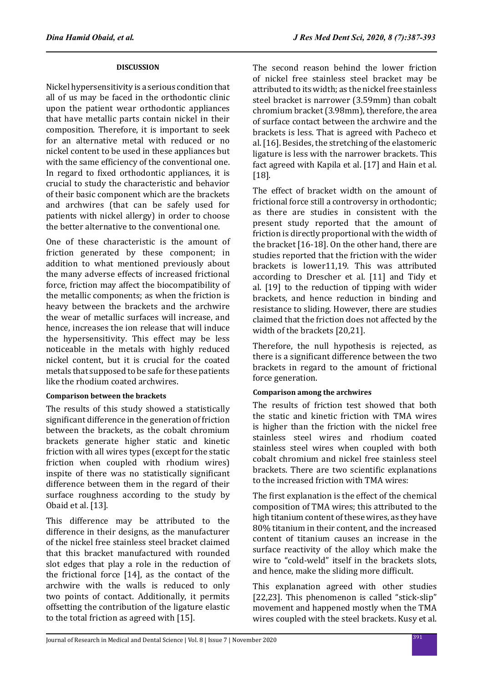### **DISCUSSION**

Nickel hypersensitivity is a serious condition that all of us may be faced in the orthodontic clinic upon the patient wear orthodontic appliances that have metallic parts contain nickel in their composition. Therefore, it is important to seek for an alternative metal with reduced or no nickel content to be used in these appliances but with the same efficiency of the conventional one. In regard to fixed orthodontic appliances, it is crucial to study the characteristic and behavior of their basic component which are the brackets and archwires (that can be safely used for patients with nickel allergy) in order to choose the better alternative to the conventional one.

One of these characteristic is the amount of friction generated by these component; in addition to what mentioned previously about the many adverse effects of increased frictional force, friction may affect the biocompatibility of the metallic components; as when the friction is heavy between the brackets and the archwire the wear of metallic surfaces will increase, and hence, increases the ion release that will induce the hypersensitivity. This effect may be less noticeable in the metals with highly reduced nickel content, but it is crucial for the coated metals that supposed to be safe for these patients like the rhodium coated archwires.

# **Comparison between the brackets**

The results of this study showed a statistically significant difference in the generation of friction between the brackets, as the cobalt chromium brackets generate higher static and kinetic friction with all wires types (except for the static friction when coupled with rhodium wires) inspite of there was no statistically significant difference between them in the regard of their surface roughness according to the study by Obaid et al. [13].

This difference may be attributed to the difference in their designs, as the manufacturer of the nickel free stainless steel bracket claimed that this bracket manufactured with rounded slot edges that play a role in the reduction of the frictional force [14], as the contact of the archwire with the walls is reduced to only two points of contact. Additionally, it permits offsetting the contribution of the ligature elastic to the total friction as agreed with [15].

The second reason behind the lower friction of nickel free stainless steel bracket may be attributed to its width; as the nickel free stainless steel bracket is narrower (3.59mm) than cobalt chromium bracket (3.98mm), therefore, the area of surface contact between the archwire and the brackets is less. That is agreed with Pacheco et al. [16]. Besides, the stretching of the elastomeric ligature is less with the narrower brackets. This fact agreed with Kapila et al. [17] and Hain et al. [18].

The effect of bracket width on the amount of frictional force still a controversy in orthodontic; as there are studies in consistent with the present study reported that the amount of friction is directly proportional with the width of the bracket [16-18]. On the other hand, there are studies reported that the friction with the wider brackets is lower11,19. This was attributed according to Drescher et al. [11] and Tidy et al. [19] to the reduction of tipping with wider brackets, and hence reduction in binding and resistance to sliding. However, there are studies claimed that the friction does not affected by the width of the brackets [20,21].

Therefore, the null hypothesis is rejected, as there is a significant difference between the two brackets in regard to the amount of frictional force generation.

# **Comparison among the archwires**

The results of friction test showed that both the static and kinetic friction with TMA wires is higher than the friction with the nickel free stainless steel wires and rhodium coated stainless steel wires when coupled with both cobalt chromium and nickel free stainless steel brackets. There are two scientific explanations to the increased friction with TMA wires:

The first explanation is the effect of the chemical composition of TMA wires; this attributed to the high titanium content of these wires, as they have 80% titanium in their content, and the increased content of titanium causes an increase in the surface reactivity of the alloy which make the wire to "cold-weld" itself in the brackets slots, and hence, make the sliding more difficult.

This explanation agreed with other studies [22,23]. This phenomenon is called "stick-slip" movement and happened mostly when the TMA wires coupled with the steel brackets. Kusy et al.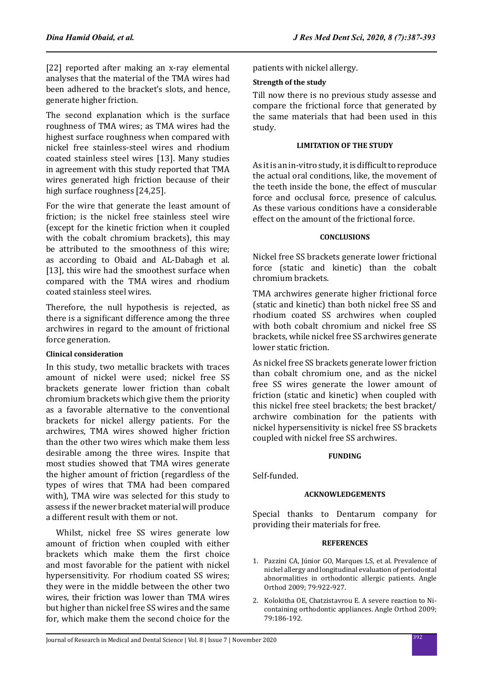[22] reported after making an x-ray elemental analyses that the material of the TMA wires had been adhered to the bracket's slots, and hence, generate higher friction.

The second explanation which is the surface roughness of TMA wires; as TMA wires had the highest surface roughness when compared with nickel free stainless-steel wires and rhodium coated stainless steel wires [13]. Many studies in agreement with this study reported that TMA wires generated high friction because of their high surface roughness [24,25].

For the wire that generate the least amount of friction; is the nickel free stainless steel wire (except for the kinetic friction when it coupled with the cobalt chromium brackets), this may be attributed to the smoothness of this wire; as according to Obaid and AL-Dabagh et al. [13], this wire had the smoothest surface when compared with the TMA wires and rhodium coated stainless steel wires.

Therefore, the null hypothesis is rejected, as there is a significant difference among the three archwires in regard to the amount of frictional force generation.

# **Clinical consideration**

In this study, two metallic brackets with traces amount of nickel were used; nickel free SS brackets generate lower friction than cobalt chromium brackets which give them the priority as a favorable alternative to the conventional brackets for nickel allergy patients. For the archwires, TMA wires showed higher friction than the other two wires which make them less desirable among the three wires. Inspite that most studies showed that TMA wires generate the higher amount of friction (regardless of the types of wires that TMA had been compared with), TMA wire was selected for this study to assess if the newer bracket material will produce a different result with them or not.

 Whilst, nickel free SS wires generate low amount of friction when coupled with either brackets which make them the first choice and most favorable for the patient with nickel hypersensitivity. For rhodium coated SS wires; they were in the middle between the other two wires, their friction was lower than TMA wires but higher than nickel free SS wires and the same for, which make them the second choice for the patients with nickel allergy.

# **Strength of the study**

Till now there is no previous study assesse and compare the frictional force that generated by the same materials that had been used in this study.

### **LIMITATION OF THE STUDY**

As it is an in-vitro study, it is difficult to reproduce the actual oral conditions, like, the movement of the teeth inside the bone, the effect of muscular force and occlusal force, presence of calculus. As these various conditions have a considerable effect on the amount of the frictional force.

# **CONCLUSIONS**

Nickel free SS brackets generate lower frictional force (static and kinetic) than the cobalt chromium brackets.

TMA archwires generate higher frictional force (static and kinetic) than both nickel free SS and rhodium coated SS archwires when coupled with both cobalt chromium and nickel free SS brackets, while nickel free SS archwires generate lower static friction.

As nickel free SS brackets generate lower friction than cobalt chromium one, and as the nickel free SS wires generate the lower amount of friction (static and kinetic) when coupled with this nickel free steel brackets; the best bracket/ archwire combination for the patients with nickel hypersensitivity is nickel free SS brackets coupled with nickel free SS archwires.

### **FUNDING**

Self-funded.

# **ACKNOWLEDGEMENTS**

Special thanks to Dentarum company for providing their materials for free.

### **REFERENCES**

- 1. Pazzini CA, Júnior GO, Marques LS, et al. Prevalence of nickel allergy and longitudinal evaluation of periodontal abnormalities in orthodontic allergic patients. Angle Orthod 2009; 79:922-927.
- 2. Kolokitha OE, Chatzistavrou E. A severe reaction to Nicontaining orthodontic appliances. Angle Orthod 2009; 79:186-192.